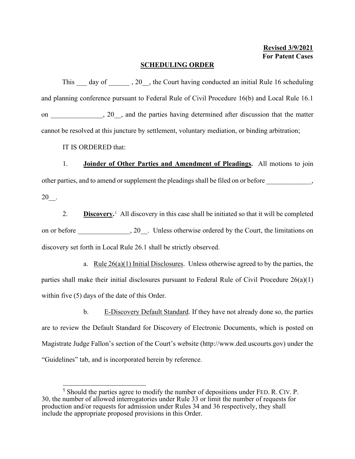## **SCHEDULING ORDER**

This \_\_\_ day of \_\_\_\_\_\_ , 20\_\_, the Court having conducted an initial Rule 16 scheduling and planning conference pursuant to Federal Rule of Civil Procedure 16(b) and Local Rule 16.1 on \_\_\_\_\_\_\_\_\_\_\_\_\_, 20\_\_, and the parties having determined after discussion that the matter cannot be resolved at this juncture by settlement, voluntary mediation, or binding arbitration;

IT IS ORDERED that:

1. **Joinder of Other Parties and Amendment of Pleadings.** All motions to join other parties, and to amend or supplement the pleadings shall be filed on or before  $\,$ 20\_\_.

2. **Discovery.**[1](#page-0-0) All discovery in this case shall be initiated so that it will be completed on or before  $\qquad \qquad , 20$ . Unless otherwise ordered by the Court, the limitations on discovery set forth in Local Rule 26.1 shall be strictly observed.

a. Rule  $26(a)(1)$  Initial Disclosures. Unless otherwise agreed to by the parties, the parties shall make their initial disclosures pursuant to Federal Rule of Civil Procedure  $26(a)(1)$ within five (5) days of the date of this Order.

b. E-Discovery Default Standard. If they have not already done so, the parties are to review the Default Standard for Discovery of Electronic Documents, which is posted on Magistrate Judge Fallon's section of the Court's website (http://www.ded.uscourts.gov) under the "Guidelines" tab, and is incorporated herein by reference.

<span id="page-0-0"></span><sup>&</sup>lt;sup>1</sup> Should the parties agree to modify the number of depositions under FED. R. CIV. P. 30, the number of allowed interrogatories under Rule 33 or limit the number of requests for production and/or requests for admission under Rules 34 and 36 respectively, they shall include the appropriate proposed provisions in this Order.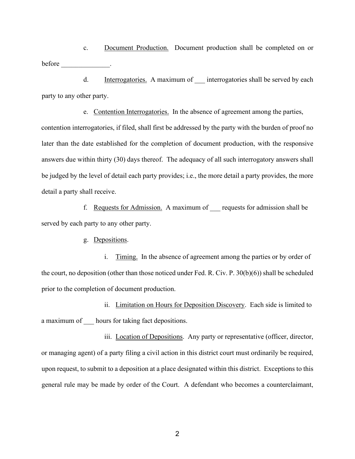c. Document Production. Document production shall be completed on or before the contract of the contract of the contract of the contract of the contract of the contract of the contract of the contract of the contract of the contract of the contract of the contract of the contract of the con

d. Interrogatories. A maximum of interrogatories shall be served by each party to any other party.

e. Contention Interrogatories. In the absence of agreement among the parties, contention interrogatories, if filed, shall first be addressed by the party with the burden of proof no later than the date established for the completion of document production, with the responsive answers due within thirty (30) days thereof. The adequacy of all such interrogatory answers shall be judged by the level of detail each party provides; i.e., the more detail a party provides, the more detail a party shall receive.

f. Requests for Admission. A maximum of \_\_\_ requests for admission shall be served by each party to any other party.

g. Depositions.

i. Timing. In the absence of agreement among the parties or by order of the court, no deposition (other than those noticed under Fed. R. Civ. P. 30(b)(6)) shall be scheduled prior to the completion of document production.

ii. Limitation on Hours for Deposition Discovery. Each side is limited to a maximum of \_\_\_ hours for taking fact depositions.

iii. Location of Depositions. Any party or representative (officer, director, or managing agent) of a party filing a civil action in this district court must ordinarily be required, upon request, to submit to a deposition at a place designated within this district. Exceptions to this general rule may be made by order of the Court. A defendant who becomes a counterclaimant,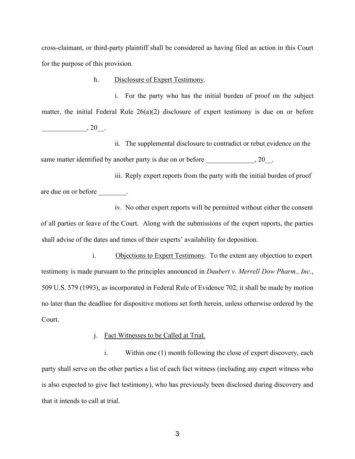cross-claimant, or third-party plaintiff shall be considered as having filed an action in this Court for the purpose of this provision.

h. Disclosure of Expert Testimony.

i. For the party who has the initial burden of proof on the subject matter, the initial Federal Rule 26(a)(2) disclosure of expert testimony is due on or before  $, 20$ .

ii. The supplemental disclosure to contradict or rebut evidence on the same matter identified by another party is due on or before  $, 20$ .

iii. Reply expert reports from the party with the initial burden of proof are due on or before \_\_\_\_\_\_\_\_.

iv. No other expert reports will be permitted without either the consent of all parties or leave of the Court. Along with the submissions of the expert reports, the parties shall advise of the dates and times of their experts' availability for deposition.

i. Objections to Expert Testimony. To the extent any objection to expert testimony is made pursuant to the principles announced in *Daubert v. Merrell Dow Pharm., Inc.*, 509 U.S. 579 (1993), as incorporated in Federal Rule of Evidence 702, it shall be made by motion no later than the deadline for dispositive motions set forth herein, unless otherwise ordered by the Court.

j. Fact Witnesses to be Called at Trial.

i. Within one (1) month following the close of expert discovery, each party shall serve on the other parties a list of each fact witness (including any expert witness who is also expected to give fact testimony), who has previously been disclosed during discovery and that it intends to call at trial.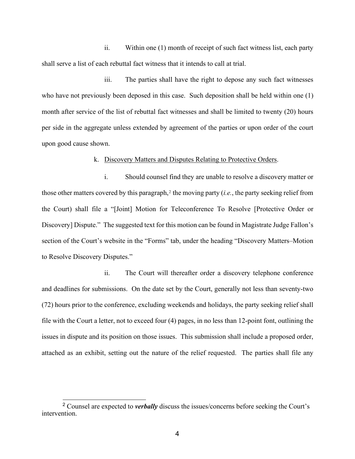ii. Within one (1) month of receipt of such fact witness list, each party shall serve a list of each rebuttal fact witness that it intends to call at trial.

iii. The parties shall have the right to depose any such fact witnesses who have not previously been deposed in this case. Such deposition shall be held within one (1) month after service of the list of rebuttal fact witnesses and shall be limited to twenty (20) hours per side in the aggregate unless extended by agreement of the parties or upon order of the court upon good cause shown.

## k. Discovery Matters and Disputes Relating to Protective Orders.

i. Should counsel find they are unable to resolve a discovery matter or those other matters covered by this paragraph,<sup>[2](#page-3-0)</sup> the moving party (*i.e.*, the party seeking relief from the Court) shall file a "[Joint] Motion for Teleconference To Resolve [Protective Order or Discovery] Dispute." The suggested text for this motion can be found in Magistrate Judge Fallon's section of the Court's website in the "Forms" tab, under the heading "Discovery Matters–Motion to Resolve Discovery Disputes."

ii. The Court will thereafter order a discovery telephone conference and deadlines for submissions. On the date set by the Court, generally not less than seventy-two (72) hours prior to the conference, excluding weekends and holidays, the party seeking relief shall file with the Court a letter, not to exceed four (4) pages, in no less than 12-point font, outlining the issues in dispute and its position on those issues. This submission shall include a proposed order, attached as an exhibit, setting out the nature of the relief requested. The parties shall file any

<span id="page-3-0"></span><sup>2</sup> Counsel are expected to *verbally* discuss the issues/concerns before seeking the Court's intervention.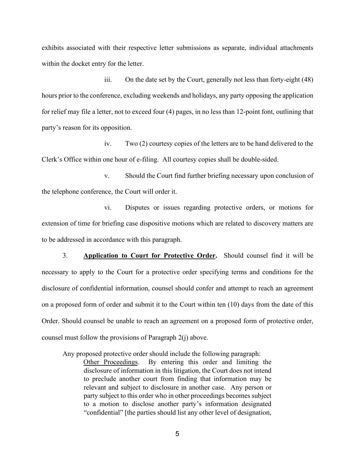exhibits associated with their respective letter submissions as separate, individual attachments within the docket entry for the letter.

iii. On the date set by the Court, generally not less than forty-eight (48) hours prior to the conference, excluding weekends and holidays, any party opposing the application for relief may file a letter, not to exceed four (4) pages, in no less than 12-point font, outlining that party's reason for its opposition.

iv. Two (2) courtesy copies of the letters are to be hand delivered to the Clerk's Office within one hour of e-filing. All courtesy copies shall be double-sided.

v. Should the Court find further briefing necessary upon conclusion of the telephone conference, the Court will order it.

vi. Disputes or issues regarding protective orders, or motions for extension of time for briefing case dispositive motions which are related to discovery matters are to be addressed in accordance with this paragraph.

3. **Application to Court for Protective Order.** Should counsel find it will be necessary to apply to the Court for a protective order specifying terms and conditions for the disclosure of confidential information, counsel should confer and attempt to reach an agreement on a proposed form of order and submit it to the Court within ten (10) days from the date of this Order. Should counsel be unable to reach an agreement on a proposed form of protective order, counsel must follow the provisions of Paragraph 2(j) above.

Any proposed protective order should include the following paragraph:

Other Proceedings. By entering this order and limiting the disclosure of information in this litigation, the Court does not intend to preclude another court from finding that information may be relevant and subject to disclosure in another case. Any person or party subject to this order who in other proceedings becomes subject to a motion to disclose another party's information designated "confidential" [the parties should list any other level of designation,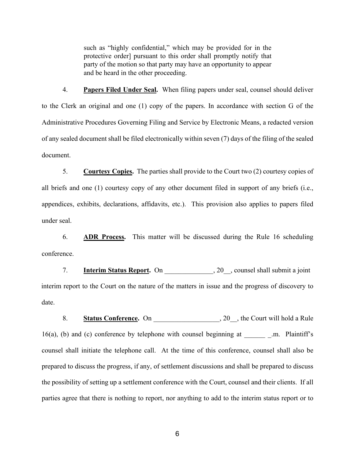such as "highly confidential," which may be provided for in the protective order] pursuant to this order shall promptly notify that party of the motion so that party may have an opportunity to appear and be heard in the other proceeding.

4. **Papers Filed Under Seal.** When filing papers under seal, counsel should deliver to the Clerk an original and one (1) copy of the papers. In accordance with section G of the Administrative Procedures Governing Filing and Service by Electronic Means, a redacted version of any sealed document shall be filed electronically within seven (7) days of the filing of the sealed document.

5. **Courtesy Copies.** The parties shall provide to the Court two (2) courtesy copies of all briefs and one (1) courtesy copy of any other document filed in support of any briefs (i.e., appendices, exhibits, declarations, affidavits, etc.). This provision also applies to papers filed under seal.

6. **ADR Process.** This matter will be discussed during the Rule 16 scheduling conference.

7. **Interim Status Report.** On \_\_\_\_\_\_\_\_\_\_\_, 20\_, counsel shall submit a joint interim report to the Court on the nature of the matters in issue and the progress of discovery to date.

8. **Status Conference.** On 20, the Court will hold a Rule 16(a), (b) and (c) conference by telephone with counsel beginning at \_\_\_\_\_\_ \_.m. Plaintiff's counsel shall initiate the telephone call. At the time of this conference, counsel shall also be prepared to discuss the progress, if any, of settlement discussions and shall be prepared to discuss the possibility of setting up a settlement conference with the Court, counsel and their clients. If all parties agree that there is nothing to report, nor anything to add to the interim status report or to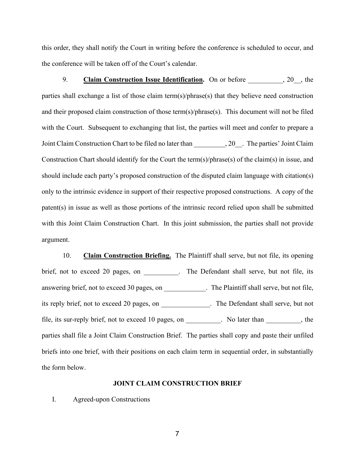this order, they shall notify the Court in writing before the conference is scheduled to occur, and the conference will be taken off of the Court's calendar.

9. Claim Construction Issue Identification. On or before  $\qquad \qquad , 20$ , the parties shall exchange a list of those claim term(s)/phrase(s) that they believe need construction and their proposed claim construction of those term(s)/phrase(s). This document will not be filed with the Court. Subsequent to exchanging that list, the parties will meet and confer to prepare a Joint Claim Construction Chart to be filed no later than  $, 20$ . The parties' Joint Claim Construction Chart should identify for the Court the term(s)/phrase(s) of the claim(s) in issue, and should include each party's proposed construction of the disputed claim language with citation(s) only to the intrinsic evidence in support of their respective proposed constructions. A copy of the patent(s) in issue as well as those portions of the intrinsic record relied upon shall be submitted with this Joint Claim Construction Chart. In this joint submission, the parties shall not provide argument.

10. **Claim Construction Briefing.** The Plaintiff shall serve, but not file, its opening brief, not to exceed 20 pages, on \_\_\_\_\_\_\_\_. The Defendant shall serve, but not file, its answering brief, not to exceed 30 pages, on \_\_\_\_\_\_\_\_\_\_\_. The Plaintiff shall serve, but not file, its reply brief, not to exceed 20 pages, on \_\_\_\_\_\_\_\_\_\_\_\_\_\_. The Defendant shall serve, but not file, its sur-reply brief, not to exceed 10 pages, on \_\_\_\_\_\_\_\_. No later than \_\_\_\_\_\_\_\_\_, the parties shall file a Joint Claim Construction Brief. The parties shall copy and paste their unfiled briefs into one brief, with their positions on each claim term in sequential order, in substantially the form below.

## **JOINT CLAIM CONSTRUCTION BRIEF**

I. Agreed-upon Constructions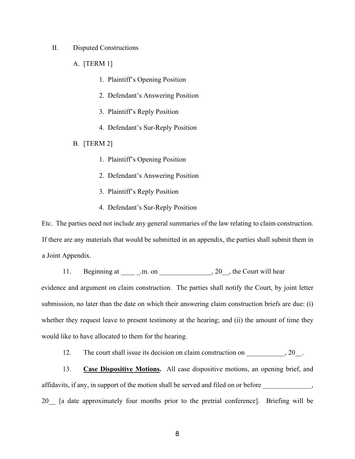II. Disputed Constructions

A. [TERM 1]

- 1. Plaintiff's Opening Position
- 2. Defendant's Answering Position
- 3. Plaintiff's Reply Position
- 4. Defendant's Sur-Reply Position
- B. [TERM 2]
	- 1. Plaintiff's Opening Position
	- 2. Defendant's Answering Position
	- 3. Plaintiff's Reply Position
	- 4. Defendant's Sur-Reply Position

Etc. The parties need not include any general summaries of the law relating to claim construction. If there are any materials that would be submitted in an appendix, the parties shall submit them in a Joint Appendix.

11. Beginning at \_\_\_\_\_\_\_.m. on \_\_\_\_\_\_\_\_\_\_\_\_\_\_\_\_, 20\_\_, the Court will hear evidence and argument on claim construction. The parties shall notify the Court, by joint letter submission, no later than the date on which their answering claim construction briefs are due: (i) whether they request leave to present testimony at the hearing; and (ii) the amount of time they would like to have allocated to them for the hearing.

12. The court shall issue its decision on claim construction on \_\_\_\_\_\_\_\_\_, 20\_.

13. **Case Dispositive Motions.** All case dispositive motions, an opening brief, and affidavits, if any, in support of the motion shall be served and filed on or before \_\_\_\_\_\_\_\_\_\_\_\_\_, 20\_\_ [a date approximately four months prior to the pretrial conference]. Briefing will be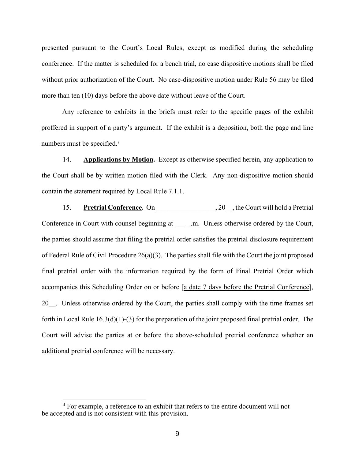presented pursuant to the Court's Local Rules, except as modified during the scheduling conference. If the matter is scheduled for a bench trial, no case dispositive motions shall be filed without prior authorization of the Court. No case-dispositive motion under Rule 56 may be filed more than ten (10) days before the above date without leave of the Court.

Any reference to exhibits in the briefs must refer to the specific pages of the exhibit proffered in support of a party's argument. If the exhibit is a deposition, both the page and line numbers must be specified.[3](#page-8-0)

14. **Applications by Motion.** Except as otherwise specified herein, any application to the Court shall be by written motion filed with the Clerk. Any non-dispositive motion should contain the statement required by Local Rule 7.1.1.

15. **Pretrial Conference.** On \_\_\_\_\_\_\_\_\_\_\_\_\_\_\_\_\_\_\_\_\_, 20\_\_, the Court will hold a Pretrial Conference in Court with counsel beginning at \_\_\_\_ .m. Unless otherwise ordered by the Court, the parties should assume that filing the pretrial order satisfies the pretrial disclosure requirement of Federal Rule of Civil Procedure 26(a)(3). The parties shall file with the Court the joint proposed final pretrial order with the information required by the form of Final Pretrial Order which accompanies this Scheduling Order on or before [a date 7 days before the Pretrial Conference], 20. Unless otherwise ordered by the Court, the parties shall comply with the time frames set forth in Local Rule 16.3(d)(1)-(3) for the preparation of the joint proposed final pretrial order. The Court will advise the parties at or before the above-scheduled pretrial conference whether an additional pretrial conference will be necessary.

<span id="page-8-0"></span><sup>&</sup>lt;sup>3</sup> For example, a reference to an exhibit that refers to the entire document will not be accepted and is not consistent with this provision.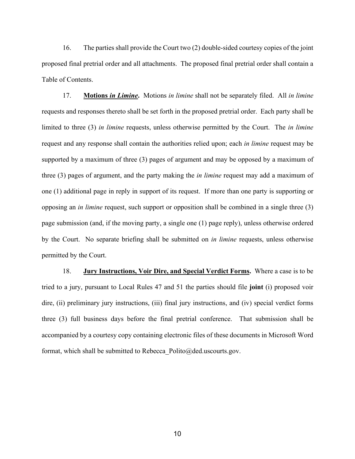16. The parties shall provide the Court two (2) double-sided courtesy copies of the joint proposed final pretrial order and all attachments. The proposed final pretrial order shall contain a Table of Contents.

17. **Motions** *in Limine***.** Motions *in limine* shall not be separately filed. All *in limine*  requests and responses thereto shall be set forth in the proposed pretrial order. Each party shall be limited to three (3) *in limine* requests, unless otherwise permitted by the Court. The *in limine* request and any response shall contain the authorities relied upon; each *in limine* request may be supported by a maximum of three (3) pages of argument and may be opposed by a maximum of three (3) pages of argument, and the party making the *in limine* request may add a maximum of one (1) additional page in reply in support of its request. If more than one party is supporting or opposing an *in limine* request, such support or opposition shall be combined in a single three (3) page submission (and, if the moving party, a single one (1) page reply), unless otherwise ordered by the Court. No separate briefing shall be submitted on *in limine* requests, unless otherwise permitted by the Court.

18. **Jury Instructions, Voir Dire, and Special Verdict Forms.** Where a case is to be tried to a jury, pursuant to Local Rules 47 and 51 the parties should file **joint** (i) proposed voir dire, (ii) preliminary jury instructions, (iii) final jury instructions, and (iv) special verdict forms three (3) full business days before the final pretrial conference. That submission shall be accompanied by a courtesy copy containing electronic files of these documents in Microsoft Word format, which shall be submitted to Rebecca Polito@ded.uscourts.gov.